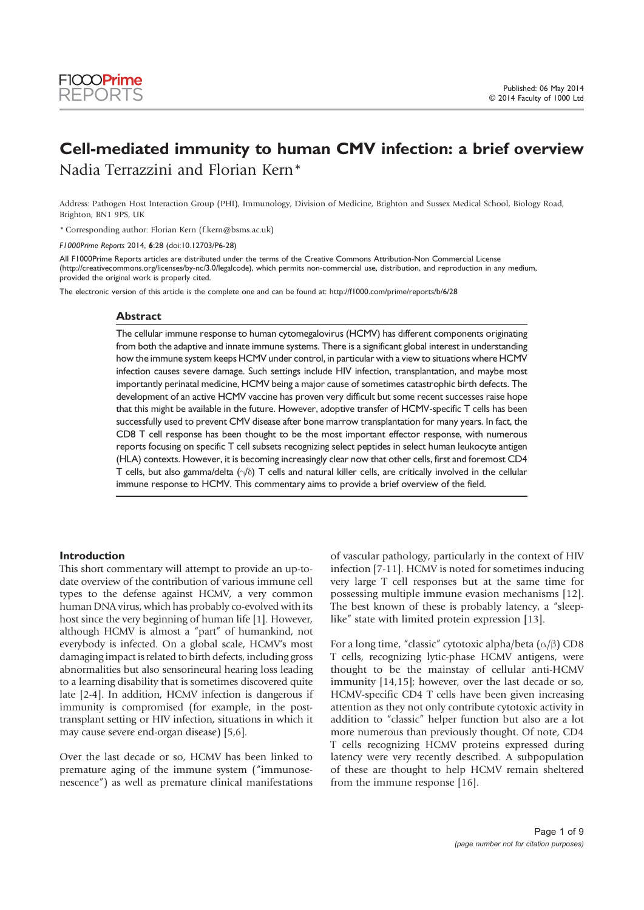# Cell-mediated immunity to human CMV infection: a brief overview Nadia Terrazzini and Florian Kern\*

Address: Pathogen Host Interaction Group (PHI), Immunology, Division of Medicine, Brighton and Sussex Medical School, Biology Road, Brighton, BN1 9PS, UK

\* Corresponding author: Florian Kern (f.kern@bsms.ac.uk)

F1000Prime Reports 2014, 6:28 (doi:10.12703/P6-28)

All F1000Prime Reports articles are distributed under the terms of the Creative Commons Attribution-Non Commercial License (http://creativecommons.org/licenses/by-nc/3.0/legalcode), which permits non-commercial use, distribution, and reproduction in any medium, provided the original work is properly cited.

The electronic version of this article is the complete one and can be found at: http://f1000.com/prime/reports/b/6/28

#### **Abstract**

The cellular immune response to human cytomegalovirus (HCMV) has different components originating from both the adaptive and innate immune systems. There is a significant global interest in understanding how the immune system keeps HCMV under control, in particular with a view to situations where HCMV infection causes severe damage. Such settings include HIV infection, transplantation, and maybe most importantly perinatal medicine, HCMV being a major cause of sometimes catastrophic birth defects. The development of an active HCMV vaccine has proven very difficult but some recent successes raise hope that this might be available in the future. However, adoptive transfer of HCMV-specific T cells has been successfully used to prevent CMV disease after bone marrow transplantation for many years. In fact, the CD8 T cell response has been thought to be the most important effector response, with numerous reports focusing on specific T cell subsets recognizing select peptides in select human leukocyte antigen (HLA) contexts. However, it is becoming increasingly clear now that other cells, first and foremost CD4 T cells, but also gamma/delta  $(\gamma/\delta)$  T cells and natural killer cells, are critically involved in the cellular immune response to HCMV. This commentary aims to provide a brief overview of the field.

#### Introduction

This short commentary will attempt to provide an up-todate overview of the contribution of various immune cell types to the defense against HCMV, a very common human DNA virus, which has probably co-evolved with its host since the very beginning of human life [1]. However, although HCMV is almost a "part" of humankind, not everybody is infected. On a global scale, HCMV's most damaging impact is related to birth defects, including gross abnormalities but also sensorineural hearing loss leading to a learning disability that is sometimes discovered quite late [2-4]. In addition, HCMV infection is dangerous if immunity is compromised (for example, in the posttransplant setting or HIV infection, situations in which it may cause severe end-organ disease) [5,6].

Over the last decade or so, HCMV has been linked to premature aging of the immune system ("immunosenescence") as well as premature clinical manifestations of vascular pathology, particularly in the context of HIV infection [7-11]. HCMV is noted for sometimes inducing very large T cell responses but at the same time for possessing multiple immune evasion mechanisms [12]. The best known of these is probably latency, a "sleeplike" state with limited protein expression [13].

For a long time, "classic" cytotoxic alpha/beta  $(\alpha/\beta)$  CD8 T cells, recognizing lytic-phase HCMV antigens, were thought to be the mainstay of cellular anti-HCMV immunity [14,15]; however, over the last decade or so, HCMV-specific CD4 T cells have been given increasing attention as they not only contribute cytotoxic activity in addition to "classic" helper function but also are a lot more numerous than previously thought. Of note, CD4 T cells recognizing HCMV proteins expressed during latency were very recently described. A subpopulation of these are thought to help HCMV remain sheltered from the immune response [16].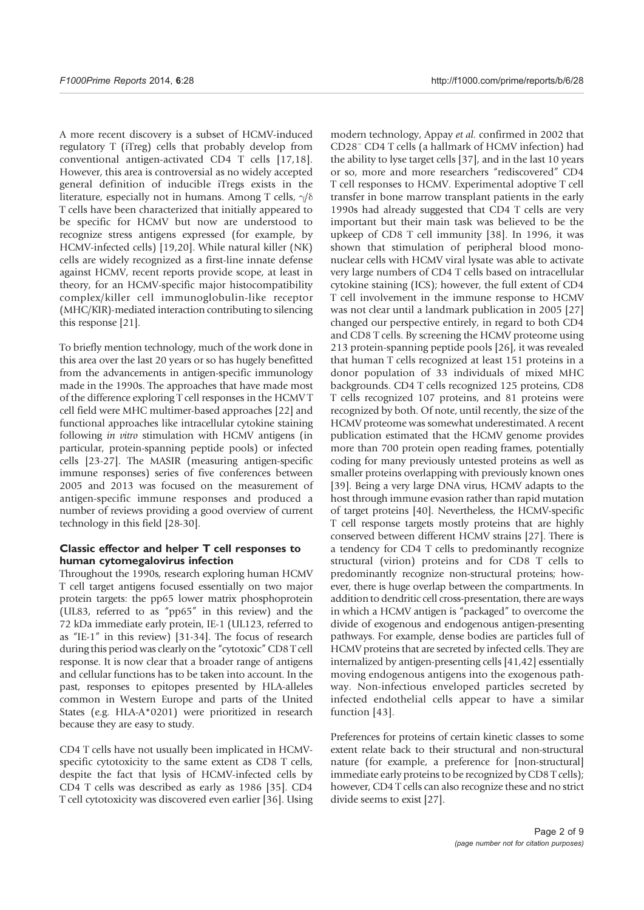A more recent discovery is a subset of HCMV-induced regulatory T (iTreg) cells that probably develop from conventional antigen-activated CD4 T cells [17,18]. However, this area is controversial as no widely accepted general definition of inducible iTregs exists in the literature, especially not in humans. Among T cells,  $\gamma/\delta$ T cells have been characterized that initially appeared to be specific for HCMV but now are understood to recognize stress antigens expressed (for example, by HCMV-infected cells) [19,20]. While natural killer (NK) cells are widely recognized as a first-line innate defense against HCMV, recent reports provide scope, at least in theory, for an HCMV-specific major histocompatibility complex/killer cell immunoglobulin-like receptor (MHC/KIR)-mediated interaction contributing to silencing this response [21].

To briefly mention technology, much of the work done in this area over the last 20 years or so has hugely benefitted from the advancements in antigen-specific immunology made in the 1990s. The approaches that have made most of the difference exploring T cell responses in the HCMV T cell field were MHC multimer-based approaches [22] and functional approaches like intracellular cytokine staining following *in vitro* stimulation with HCMV antigens (in particular, protein-spanning peptide pools) or infected cells [23-27]. The MASIR (measuring antigen-specific immune responses) series of five conferences between 2005 and 2013 was focused on the measurement of antigen-specific immune responses and produced a number of reviews providing a good overview of current technology in this field [28-30].

#### Classic effector and helper T cell responses to human cytomegalovirus infection

Throughout the 1990s, research exploring human HCMV T cell target antigens focused essentially on two major protein targets: the pp65 lower matrix phosphoprotein (UL83, referred to as "pp65" in this review) and the 72 kDa immediate early protein, IE-1 (UL123, referred to as "IE-1" in this review) [31-34]. The focus of research during this period was clearly on the "cytotoxic" CD8 T cell response. It is now clear that a broader range of antigens and cellular functions has to be taken into account. In the past, responses to epitopes presented by HLA-alleles common in Western Europe and parts of the United States (e.g. HLA-A\*0201) were prioritized in research because they are easy to study.

CD4 T cells have not usually been implicated in HCMVspecific cytotoxicity to the same extent as CD8 T cells, despite the fact that lysis of HCMV-infected cells by CD4 T cells was described as early as 1986 [35]. CD4 T cell cytotoxicity was discovered even earlier [36]. Using modern technology, Appay et al. confirmed in 2002 that CD28<sup>−</sup> CD4 T cells (a hallmark of HCMV infection) had the ability to lyse target cells [37], and in the last 10 years or so, more and more researchers "rediscovered" CD4 T cell responses to HCMV. Experimental adoptive T cell transfer in bone marrow transplant patients in the early 1990s had already suggested that CD4 T cells are very important but their main task was believed to be the upkeep of CD8 T cell immunity [38]. In 1996, it was shown that stimulation of peripheral blood mononuclear cells with HCMV viral lysate was able to activate very large numbers of CD4 T cells based on intracellular cytokine staining (ICS); however, the full extent of CD4 T cell involvement in the immune response to HCMV was not clear until a landmark publication in 2005 [27] changed our perspective entirely, in regard to both CD4 and CD8 T cells. By screening the HCMV proteome using 213 protein-spanning peptide pools [26], it was revealed that human T cells recognized at least 151 proteins in a donor population of 33 individuals of mixed MHC backgrounds. CD4 T cells recognized 125 proteins, CD8 T cells recognized 107 proteins, and 81 proteins were recognized by both. Of note, until recently, the size of the HCMV proteome was somewhat underestimated. A recent publication estimated that the HCMV genome provides more than 700 protein open reading frames, potentially coding for many previously untested proteins as well as smaller proteins overlapping with previously known ones [39]. Being a very large DNA virus, HCMV adapts to the host through immune evasion rather than rapid mutation of target proteins [40]. Nevertheless, the HCMV-specific T cell response targets mostly proteins that are highly conserved between different HCMV strains [27]. There is a tendency for CD4 T cells to predominantly recognize structural (virion) proteins and for CD8 T cells to predominantly recognize non-structural proteins; however, there is huge overlap between the compartments. In addition to dendritic cell cross-presentation, there are ways in which a HCMV antigen is "packaged" to overcome the divide of exogenous and endogenous antigen-presenting pathways. For example, dense bodies are particles full of HCMV proteins that are secreted by infected cells. They are internalized by antigen-presenting cells [41,42] essentially moving endogenous antigens into the exogenous pathway. Non-infectious enveloped particles secreted by infected endothelial cells appear to have a similar function [43].

Preferences for proteins of certain kinetic classes to some extent relate back to their structural and non-structural nature (for example, a preference for [non-structural] immediate early proteins to be recognized by CD8 T cells); however, CD4 T cells can also recognize these and no strict divide seems to exist [27].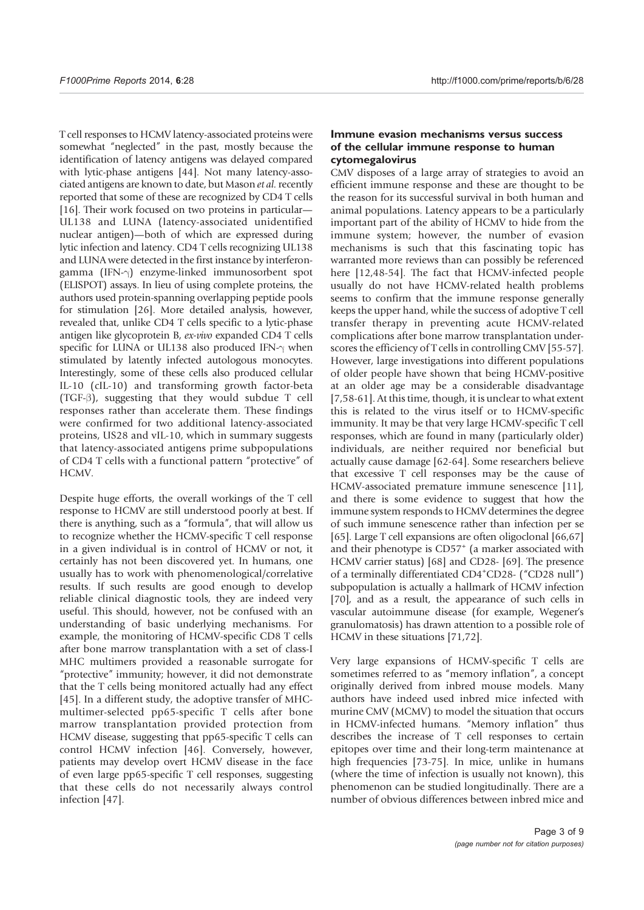T cell responses to HCMV latency-associated proteins were somewhat "neglected" in the past, mostly because the identification of latency antigens was delayed compared with lytic-phase antigens [44]. Not many latency-associated antigens are known to date, but Mason et al. recently reported that some of these are recognized by CD4 T cells [16]. Their work focused on two proteins in particular— UL138 and LUNA (latency-associated unidentified nuclear antigen)—both of which are expressed during lytic infection and latency. CD4 T cells recognizing UL138 and LUNA were detected in the first instance by interferongamma (IFN- $\gamma$ ) enzyme-linked immunosorbent spot (ELISPOT) assays. In lieu of using complete proteins, the authors used protein-spanning overlapping peptide pools for stimulation [26]. More detailed analysis, however, revealed that, unlike CD4 T cells specific to a lytic-phase antigen like glycoprotein B, ex-vivo expanded CD4 T cells specific for LUNA or UL138 also produced IFN- $\gamma$  when stimulated by latently infected autologous monocytes. Interestingly, some of these cells also produced cellular IL-10 (cIL-10) and transforming growth factor-beta  $(TGF- $\beta$ ), suggesting that they would subdue T cell$ responses rather than accelerate them. These findings were confirmed for two additional latency-associated proteins, US28 and vIL-10, which in summary suggests that latency-associated antigens prime subpopulations of CD4 T cells with a functional pattern "protective" of HCMV.

Despite huge efforts, the overall workings of the T cell response to HCMV are still understood poorly at best. If there is anything, such as a "formula", that will allow us to recognize whether the HCMV-specific T cell response in a given individual is in control of HCMV or not, it certainly has not been discovered yet. In humans, one usually has to work with phenomenological/correlative results. If such results are good enough to develop reliable clinical diagnostic tools, they are indeed very useful. This should, however, not be confused with an understanding of basic underlying mechanisms. For example, the monitoring of HCMV-specific CD8 T cells after bone marrow transplantation with a set of class-I MHC multimers provided a reasonable surrogate for "protective" immunity; however, it did not demonstrate that the T cells being monitored actually had any effect [45]. In a different study, the adoptive transfer of MHCmultimer-selected pp65-specific T cells after bone marrow transplantation provided protection from HCMV disease, suggesting that pp65-specific T cells can control HCMV infection [46]. Conversely, however, patients may develop overt HCMV disease in the face of even large pp65-specific T cell responses, suggesting that these cells do not necessarily always control infection [47].

#### Immune evasion mechanisms versus success of the cellular immune response to human cytomegalovirus

CMV disposes of a large array of strategies to avoid an efficient immune response and these are thought to be the reason for its successful survival in both human and animal populations. Latency appears to be a particularly important part of the ability of HCMV to hide from the immune system; however, the number of evasion mechanisms is such that this fascinating topic has warranted more reviews than can possibly be referenced here [12,48-54]. The fact that HCMV-infected people usually do not have HCMV-related health problems seems to confirm that the immune response generally keeps the upper hand, while the success of adoptive T cell transfer therapy in preventing acute HCMV-related complications after bone marrow transplantation underscores the efficiency of T cells in controlling CMV [55-57]. However, large investigations into different populations of older people have shown that being HCMV-positive at an older age may be a considerable disadvantage [7,58-61]. At this time, though, it is unclear to what extent this is related to the virus itself or to HCMV-specific immunity. It may be that very large HCMV-specific T cell responses, which are found in many (particularly older) individuals, are neither required nor beneficial but actually cause damage [62-64]. Some researchers believe that excessive T cell responses may be the cause of HCMV-associated premature immune senescence [11], and there is some evidence to suggest that how the immune system responds to HCMV determines the degree of such immune senescence rather than infection per se [65]. Large T cell expansions are often oligoclonal [66,67] and their phenotype is CD57<sup>+</sup> (a marker associated with HCMV carrier status) [68] and CD28- [69]. The presence of a terminally differentiated CD4+ CD28- ("CD28 null") subpopulation is actually a hallmark of HCMV infection [70], and as a result, the appearance of such cells in vascular autoimmune disease (for example, Wegener's granulomatosis) has drawn attention to a possible role of HCMV in these situations [71,72].

Very large expansions of HCMV-specific T cells are sometimes referred to as "memory inflation", a concept originally derived from inbred mouse models. Many authors have indeed used inbred mice infected with murine CMV (MCMV) to model the situation that occurs in HCMV-infected humans. "Memory inflation" thus describes the increase of T cell responses to certain epitopes over time and their long-term maintenance at high frequencies [73-75]. In mice, unlike in humans (where the time of infection is usually not known), this phenomenon can be studied longitudinally. There are a number of obvious differences between inbred mice and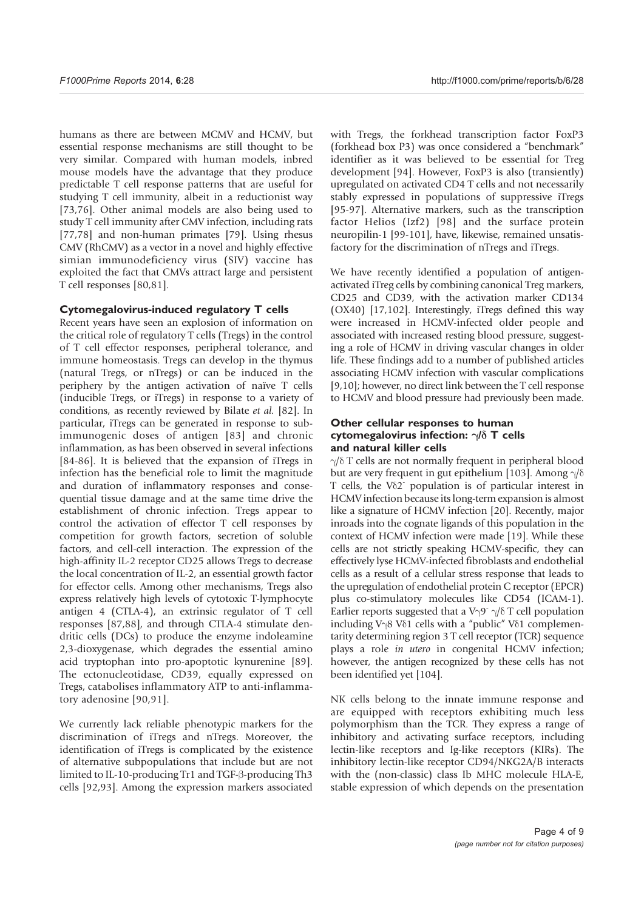humans as there are between MCMV and HCMV, but essential response mechanisms are still thought to be very similar. Compared with human models, inbred mouse models have the advantage that they produce predictable T cell response patterns that are useful for studying T cell immunity, albeit in a reductionist way [73,76]. Other animal models are also being used to study T cell immunity after CMV infection, including rats [77,78] and non-human primates [79]. Using rhesus CMV (RhCMV) as a vector in a novel and highly effective simian immunodeficiency virus (SIV) vaccine has exploited the fact that CMVs attract large and persistent T cell responses [80,81].

#### Cytomegalovirus-induced regulatory T cells

Recent years have seen an explosion of information on the critical role of regulatory T cells (Tregs) in the control of T cell effector responses, peripheral tolerance, and immune homeostasis. Tregs can develop in the thymus (natural Tregs, or nTregs) or can be induced in the periphery by the antigen activation of naïve T cells (inducible Tregs, or iTregs) in response to a variety of conditions, as recently reviewed by Bilate et al. [82]. In particular, iTregs can be generated in response to subimmunogenic doses of antigen [83] and chronic inflammation, as has been observed in several infections [84-86]. It is believed that the expansion of iTregs in infection has the beneficial role to limit the magnitude and duration of inflammatory responses and consequential tissue damage and at the same time drive the establishment of chronic infection. Tregs appear to control the activation of effector T cell responses by competition for growth factors, secretion of soluble factors, and cell-cell interaction. The expression of the high-affinity IL-2 receptor CD25 allows Tregs to decrease the local concentration of IL-2, an essential growth factor for effector cells. Among other mechanisms, Tregs also express relatively high levels of cytotoxic T-lymphocyte antigen 4 (CTLA-4), an extrinsic regulator of T cell responses [87,88], and through CTLA-4 stimulate dendritic cells (DCs) to produce the enzyme indoleamine 2,3-dioxygenase, which degrades the essential amino acid tryptophan into pro-apoptotic kynurenine [89]. The ectonucleotidase, CD39, equally expressed on Tregs, catabolises inflammatory ATP to anti-inflammatory adenosine [90,91].

We currently lack reliable phenotypic markers for the discrimination of iTregs and nTregs. Moreover, the identification of iTregs is complicated by the existence of alternative subpopulations that include but are not limited to IL-10-producing Tr1 and TGF- $\beta$ -producing Th3 cells [92,93]. Among the expression markers associated with Tregs, the forkhead transcription factor FoxP3 (forkhead box P3) was once considered a "benchmark" identifier as it was believed to be essential for Treg development [94]. However, FoxP3 is also (transiently) upregulated on activated CD4 T cells and not necessarily stably expressed in populations of suppressive iTregs [95-97]. Alternative markers, such as the transcription factor Helios (Izf2) [98] and the surface protein neuropilin-1 [99-101], have, likewise, remained unsatisfactory for the discrimination of nTregs and iTregs.

We have recently identified a population of antigenactivated iTreg cells by combining canonical Treg markers, CD25 and CD39, with the activation marker CD134 (OX40) [17,102]. Interestingly, iTregs defined this way were increased in HCMV-infected older people and associated with increased resting blood pressure, suggesting a role of HCMV in driving vascular changes in older life. These findings add to a number of published articles associating HCMV infection with vascular complications [9,10]; however, no direct link between the T cell response to HCMV and blood pressure had previously been made.

#### Other cellular responses to human cytomegalovirus infection:  $\gamma/\delta$  T cells and natural killer cells

 $\gamma/\delta$  T cells are not normally frequent in peripheral blood but are very frequent in gut epithelium [103]. Among  $\gamma/\delta$ T cells, the  $V\delta2$  population is of particular interest in HCMV infection because its long-term expansion is almost like a signature of HCMV infection [20]. Recently, major inroads into the cognate ligands of this population in the context of HCMV infection were made [19]. While these cells are not strictly speaking HCMV-specific, they can effectively lyse HCMV-infected fibroblasts and endothelial cells as a result of a cellular stress response that leads to the upregulation of endothelial protein C receptor (EPCR) plus co-stimulatory molecules like CD54 (ICAM-1). Earlier reports suggested that a V $\gamma$ 9<sup>-</sup>  $\gamma/\delta$  T cell population including V $\frac{8}{1}$  Cells with a "public" V $\delta$ 1 complementarity determining region 3 T cell receptor (TCR) sequence plays a role in utero in congenital HCMV infection; however, the antigen recognized by these cells has not been identified yet [104].

NK cells belong to the innate immune response and are equipped with receptors exhibiting much less polymorphism than the TCR. They express a range of inhibitory and activating surface receptors, including lectin-like receptors and Ig-like receptors (KIRs). The inhibitory lectin-like receptor CD94/NKG2A/B interacts with the (non-classic) class Ib MHC molecule HLA-E, stable expression of which depends on the presentation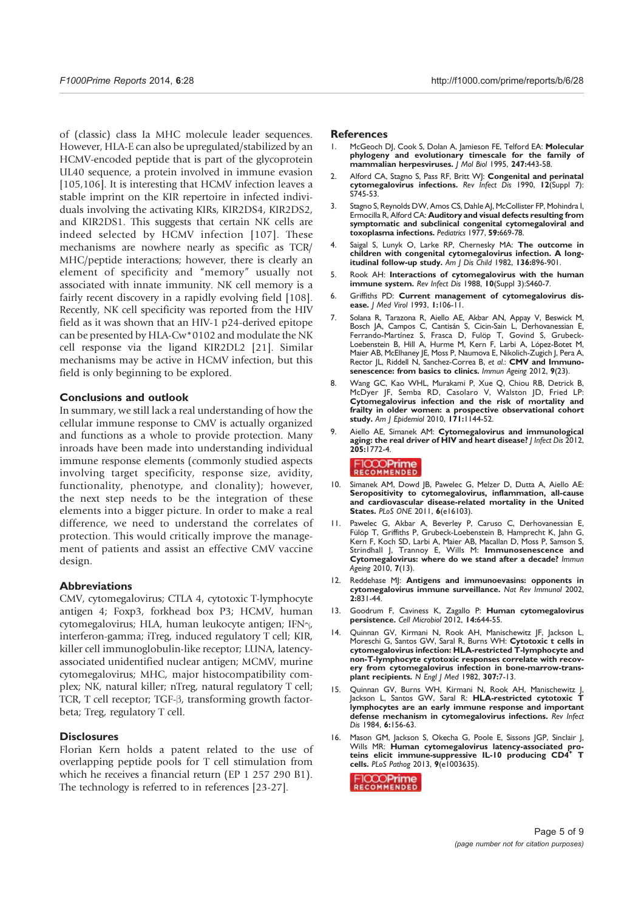of (classic) class Ia MHC molecule leader sequences. However, HLA-E can also be upregulated/stabilized by an HCMV-encoded peptide that is part of the glycoprotein UL40 sequence, a protein involved in immune evasion [105,106]. It is interesting that HCMV infection leaves a stable imprint on the KIR repertoire in infected individuals involving the activating KIRs, KIR2DS4, KIR2DS2, and KIR2DS1. This suggests that certain NK cells are indeed selected by HCMV infection [107]. These mechanisms are nowhere nearly as specific as TCR/ MHC/peptide interactions; however, there is clearly an element of specificity and "memory" usually not associated with innate immunity. NK cell memory is a fairly recent discovery in a rapidly evolving field [108]. Recently, NK cell specificity was reported from the HIV field as it was shown that an HIV-1 p24-derived epitope can be presented by HLA-Cw\*0102 and modulate the NK cell response via the ligand KIR2DL2 [21]. Similar mechanisms may be active in HCMV infection, but this field is only beginning to be explored.

#### Conclusions and outlook

In summary, we still lack a real understanding of how the cellular immune response to CMV is actually organized and functions as a whole to provide protection. Many inroads have been made into understanding individual immune response elements (commonly studied aspects involving target specificity, response size, avidity, functionality, phenotype, and clonality); however, the next step needs to be the integration of these elements into a bigger picture. In order to make a real difference, we need to understand the correlates of protection. This would critically improve the management of patients and assist an effective CMV vaccine design.

#### **Abbreviations**

CMV, cytomegalovirus; CTLA 4, cytotoxic T-lymphocyte antigen 4; Foxp3, forkhead box P3; HCMV, human cytomegalovirus; HLA, human leukocyte antigen; IFN $\gamma$ , interferon-gamma; iTreg, induced regulatory T cell; KIR, killer cell immunoglobulin-like receptor; LUNA, latencyassociated unidentified nuclear antigen; MCMV, murine cytomegalovirus; MHC, major histocompatibility complex; NK, natural killer; nTreg, natural regulatory T cell; TCR, T cell receptor;  $TGF- $\beta$ , transforming growth factor$ beta; Treg, regulatory T cell.

#### **Disclosures**

Florian Kern holds a patent related to the use of overlapping peptide pools for T cell stimulation from which he receives a financial return (EP 1 257 290 B1). The technology is referred to in references [23-27].

#### References

- 1. McGeoch DJ, Cook S, Dolan A, Jamieson FE, Telford EA: Molecular phylogeny and evolutionary timescale for the family of mammalian herpesviruses. J Mol Biol 1995, 247:443-58.
- 2. Alford CA, Stagno S, Pass RF, Britt WJ: Congenital and perinatal cytomegalovirus infections. Rev Infect Dis 1990, 12(Suppl 7): S745-53.
- 3. Stagno S, Reynolds DW, Amos CS, Dahle AJ, McCollister FP, Mohindra I, Ermocilla R, Alford CA: Auditory and visual defects resulting from symptomatic and subclinical congenital cytomegaloviral and toxoplasma infections. Pediatrics 1977, 59:669-78.
- Saigal S, Lunyk O, Larke RP, Chernesky MA: The outcome in children with congenital cytomegalovirus infection. A longitudinal follow-up study. Am J Dis Child 1982, 136:896-901.
- 5. Rook AH: Interactions of cytomegalovirus with the human immune system. Rev Infect Dis 1988, 10(Suppl 3):S460-7.
- 6. Griffiths PD: Current management of cytomegalovirus disease. *J Med Virol* 1993, 1:106-11.
- 7. Solana R, Tarazona R, Aiello AE, Akbar AN, Appay V, Beswick M, Bosch JA, Campos C, Cantisán S, Cicin-Sain L, Derhovanessian E, Ferrando-Martínez S, Frasca D, Fulöp T, Govind S, Grubeck-Loebenstein B, Hill A, Hurme M, Kern F, Larbi A, López-Botet M, Maier AB, McElhaney JE, Moss P, Naumova E, Nikolich-Zugich J, Pera A, Rector JL, Riddell N, Sanchez-Correa B, et al.: CMV and Immunosenescence: from basics to clinics. Immun Ageing 2012, 9(23).
- 8. Wang GC, Kao WHL, Murakami P, Xue Q, Chiou RB, Detrick B, McDyer JF, Semba RD, Casolaro V, Walston JD, Fried LP: Cytomegalovirus infection and the risk of mortality and frailty in older women: a prospective observational cohort study. Am J Epidemiol 2010, 171:1144-52.
- 9. Aiello AE, Simanek AM: Cytomegalovirus and immunological aging: the real driver of HIV and heart disease? J Infect Dis 2012, 205:1772-4.

- 10. Simanek AM, Dowd JB, Pawelec G, Melzer D, Dutta A, Aiello AE: Seropositivity to cytomegalovirus, inflammation, all-cause and cardiovascular disease-related mortality in the United States. PLoS ONE 2011, 6(e16103).
- 11. Pawelec G, Akbar A, Beverley P, Caruso C, Derhovanessian E, Fülöp T, Griffiths P, Grubeck-Loebenstein B, Hamprecht K, Jahn G, Kern F, Koch SD, Larbi A, Maier AB, Macallan D, Moss P, Samson S, Strindhall J, Trannoy E, Wills M: Immunosenescence and Cytomegalovirus: where do we stand after a decade? Immun Ageing 2010, 7(13).
- 12. Reddehase MJ: Antigens and immunoevasins: opponents in cytomegalovirus immune surveillance. Nat Rev Immunol 2002,  $2:831 - 44.$
- 13. Goodrum F, Caviness K, Zagallo P: Human cytomegalovirus persistence. Cell Microbiol 2012, 14:644-55.
- 14. Quinnan GV, Kirmani N, Rook AH, Manischewitz JF, Jackson L, Moreschi G, Santos GW, Saral R, Burns WH: Cytotoxic t cells in cytomegalovirus infection: HLA-restricted T-lymphocyte and non-T-lymphocyte cytotoxic responses correlate with recovery from cytomegalovirus infection in bone-marrow-transplant recipients. N Engl J Med 1982, 307:7-13.
- 15. Quinnan GV, Burns WH, Kirmani N, Rook AH, Manischewitz J, lackson L. Santos GW, Saral R: HLA-restricted cytotoxic T lymphocytes are an early immune response and important defense mechanism in cytomegalovirus infections. Rev Infect Dis 1984, 6:156-63.
- 16. Mason GM, Jackson S, Okecha G, Poole E, Sissons JGP, Sinclair J, Wills MR: Human cytomegalovirus latency-associated pro-teins elicit immune-suppressive IL-10 producing CD4+ T cells. PLoS Pathog 2013, 9(e1003635).

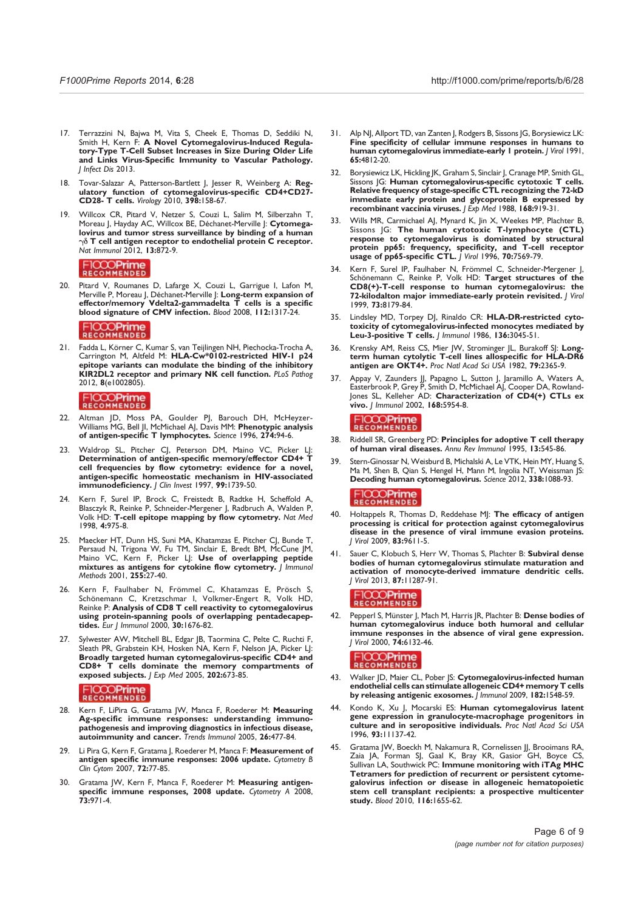- 17. Terrazzini N, Bajwa M, Vita S, Cheek E, Thomas D, Seddiki N, Smith H, Kern F: A Novel Cytomegalovirus-Induced Regulatory-Type T-Cell Subset Increases in Size During Older Life and Links Virus-Specific Immunity to Vascular Pathology. J Infect Dis 2013.
- 18. Tovar-Salazar A, Patterson-Bartlett J, Jesser R, Weinberg A: Regulatory function of cytomegalovirus-specific CD4+CD27- CD28- T cells. Virology 2010, 398:158-67.
- 19. Willcox CR, Pitard V, Netzer S, Couzi L, Salim M, Silberzahn T, Moreau J, Hayday AC, Willcox BE, Déchanet-Merville J: Cytomegalovirus and tumor stress surveillance by binding of a human  $\gamma\delta$  T cell antigen receptor to endothelial protein C receptor. Nat Immunol 2012, 13:872-9.

### FICCOPrime

20. Pitard V, Roumanes D, Lafarge X, Couzi L, Garrigue I, Lafon M, Merville P, Moreau J, Déchanet-Merville J: Long-term expansion of effector/memory Vdelta2-gammadelta  $\overline{T}$  cells is a specific blood signature of CMV infection. Blood 2008, 112:1317-24.

# FICCOPrime

21. Fadda L, Körner C, Kumar S, van Teijlingen NH, Piechocka-Trocha A, Carrington M, Altfeld M: HLA-Cw\*0102-restricted HIV-1 p24 epitope variants can modulate the binding of the inhibitory KIR2DL2 receptor and primary NK cell function. PLoS Pathog 2012, 8(e1002805).

# FICCOPrime

- 22. Altman JD, Moss PA, Goulder PJ, Barouch DH, McHeyzer-Williams MG, Bell JI, McMichael AJ, Davis MM: Phenotypic analysis of antigen-specific T lymphocytes. Science 1996, 274:94-6.
- 23. Waldrop SL, Pitcher CJ, Peterson DM, Maino VC, Picker LJ: Determination of antigen-specific memory/effector CD4+ T cell frequencies by flow cytometry: evidence for a novel, antigen-specific homeostatic mechanism in HIV-associated immunodeficiency. J Clin Invest 1997, 99:1739-50.
- 24. Kern F, Surel IP, Brock C, Freistedt B, Radtke H, Scheffold A, Blasczyk R, Reinke P, Schneider-Mergener J, Radbruch A, Walden P, Volk HD: T-cell epitope mapping by flow cytometry. Nat Med 1998, 4:975-8.
- 25. Maecker HT, Dunn HS, Suni MA, Khatamzas E, Pitcher CJ, Bunde T, Persaud N, Trigona W, Fu TM, Sinclair E, Bredt BM, McCune JM, Maino VC, Kern F, Picker LJ: Use of overlapping peptide mixtures as antigens for cytokine flow cytometry. J Immunol Methods 2001, 255:27-40.
- 26. Kern F, Faulhaber N, Frömmel C, Khatamzas E, Prösch S, Schönemann C, Kretzschmar I, Volkmer-Engert R, Volk HD, Reinke P: Analysis of CD8 T cell reactivity to cytomegalovirus using protein-spanning pools of overlapping pentadecapeptides. Eur J Immunol 2000, 30:1676-82.
- Sylwester AW, Mitchell BL, Edgar JB, Taormina C, Pelte C, Ruchti F, Sleath PR, Grabstein KH, Hosken NA, Kern F, Nelson JA, Picker LJ: Broadly targeted human cytomegalovirus-specific CD4+ and CD8+ T cells dominate the memory compartments of exposed subjects. J Exp Med 2005, 202:673-85.

### FICCOPrime

- 28. Kern F, LiPira G, Gratama JW, Manca F, Roederer M: Measuring Ag-specific immune responses: understanding immunopathogenesis and improving diagnostics in infectious disease, autoimmunity and cancer. Trends Immunol 2005, 26:477-84.
- 29. Li Pira G, Kern F, Gratama J, Roederer M, Manca F: Measurement of antigen specific immune responses: 2006 update. Cytometry B Clin Cytom 2007, 72:77-85.
- 30. Gratama JW, Kern F, Manca F, Roederer M: Measuring antigenspecific immune responses, 2008 update. Cytometry A 2008, 73:971-4.
- 31. Alp NJ, Allport TD, van Zanten J, Rodgers B, Sissons JG, Borysiewicz LK: Fine specificity of cellular immune responses in humans to human cytomegalovirus immediate-early 1 protein. J Virol 1991, 65:4812-20.
- 32. Borysiewicz LK, Hickling JK, Graham S, Sinclair J, Cranage MP, Smith GL, Sissons JG: Human cytomegalovirus-specific cytotoxic T cells. Relative frequency of stage-specific CTL recognizing the 72-kD immediate early protein and glycoprotein B expressed by recombinant vaccinia viruses. J Exp Med 1988, 168:919-31.
- 33. Wills MR, Carmichael AJ, Mynard K, Jin X, Weekes MP, Plachter B, Sissons JG: The human cytotoxic T-lymphocyte (CTL) response to cytomegalovirus is dominated by structural protein pp65: frequency, specificity, and T-cell receptor usage of pp65-specific CTL. J Virol 1996, 70:7569-79.
- 34. Kern F, Surel IP, Faulhaber N, Frömmel C, Schneider-Mergener J, Schönemann C, Reinke P, Volk HD: Target structures of the CD8(+)-T-cell response to human cytomegalovirus: the 72-kilodalton major immediate-early protein revisited. J Virol 1999, 73:8179-84.
- 35. Lindsley MD, Torpey DJ, Rinaldo CR: HLA-DR-restricted cytotoxicity of cytomegalovirus-infected monocytes mediated by Leu-3-positive T cells. J Immunol 1986, 136:3045-51.
- 36. Krensky AM, Reiss CS, Mier JW, Strominger JL, Burakoff SJ: Longterm human cytolytic T-cell lines allospecific for HLA-DR6 antigen are OKT4+. Proc Natl Acad Sci USA 1982, 79:2365-9.
- 37. Appay V, Zaunders JJ, Papagno L, Sutton J, Jaramillo A, Waters A, Easterbrook P, Grey P, Smith D, McMichael AJ, Cooper DA, Rowland-Jones SL, Kelleher AD: Characterization of CD4(+) CTLs ex vivo. J Immunol 2002, 168:5954-8.

# FICCOPrime

- 38. Riddell SR, Greenberg PD: Principles for adoptive T cell therapy of human viral diseases. Annu Rev Immunol 1995, 13:545-86.
- 39. Stern-Ginossar N, Weisburd B, Michalski A, Le VTK, Hein MY, Huang S, Ma M, Shen B, Qian S, Hengel H, Mann M, Ingolia NT, Weissman JS: Decoding human cytomegalovirus. Science 2012, 338:1088-93.

# FICCOPrime

- 40. Holtappels R, Thomas D, Reddehase MJ: The efficacy of antigen processing is critical for protection against cytomegalovirus disease in the presence of viral immune evasion proteins. J Virol 2009, 83:9611-5.
- 41. Sauer C, Klobuch S, Herr W, Thomas S, Plachter B: Subviral dense bodies of human cytomegalovirus stimulate maturation and activation of monocyte-derived immature dendritic cells. J Virol 2013, 87:11287-91.

### FICCOPrime

42. Pepperl S, Münster J, Mach M, Harris JR, Plachter B: Dense bodies of human cytomegalovirus induce both humoral and cellular immune responses in the absence of viral gene expression. J Virol 2000, 74:6132-46.

- 43. Walker JD, Maier CL, Pober JS: Cytomegalovirus-infected human endothelial cells can stimulate allogeneic CD4+ memory T cells by releasing antigenic exosomes. *I Immunol* 2009, 182:1548-59.
- 44. Kondo K, Xu J, Mocarski ES: Human cytomegalovirus latent gene expression in granulocyte-macrophage progenitors in culture and in seropositive individuals. Proc Natl Acad Sci USA 1996, 93:11137-42.
- 45. Gratama JW, Boeckh M, Nakamura R, Cornelissen JJ, Brooimans RA, Zaia JA, Forman SJ, Gaal K, Bray KR, Gasior GH, Boyce CS, Sullivan LA, Southwick PC: Immune monitoring with iTAg MHC Tetramers for prediction of recurrent or persistent cytomegalovirus infection or disease in allogeneic hematopoietic stem cell transplant recipients: a prospective multicenter study. Blood 2010, 116:1655-62.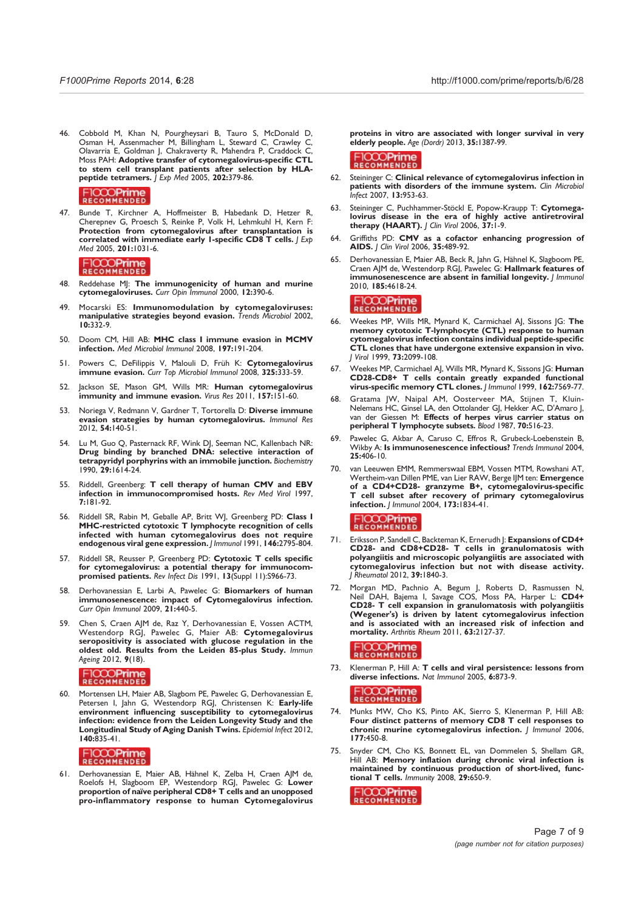46. Cobbold M, Khan N, Pourgheysari B, Tauro S, McDonald D, Osman H, Assenmacher M, Billingham L, Steward C, Crawley C, Olavarria E, Goldman J, Chakraverty R, Mahendra P, Craddock C, Moss PAH: Adoptive transfer of cytomegalovirus-specific CTL to stem cell transplant patients after selection by HLApeptide tetramers. J Exp Med 2005, 202:379-86.

#### FICCOPrime

47. Bunde T, Kirchner A, Hoffmeister B, Habedank D, Hetzer R, Cherepnev G, Proesch S, Reinke P, Volk H, Lehmkuhl H, Kern F: Protection from cytomegalovirus after transplantation is correlated with immediate early 1-specific CD8 T cells.  $|$  Exp Med 2005, 201:1031-6.

### FICCOPrime

- 48. Reddehase MJ: The immunogenicity of human and murine cytomegaloviruses. Curr Opin Immunol 2000, 12:390-6.
- 49. Mocarski ES: Immunomodulation by cytomegaloviruses: manipulative strategies beyond evasion. Trends Microbiol 2002, 10:332-9.
- 50. Doom CM, Hill AB: MHC class I immune evasion in MCMV infection. Med Microbiol Immunol 2008, 197:191-204.
- 51. Powers C, DeFilippis V, Malouli D, Früh K: Cytomegalovirus immune evasion. Curr Top Microbiol Immunol 2008, 325:333-59.
- 52. Jackson SE, Mason GM, Wills MR: Human cytomegalovirus immunity and immune evasion. Virus Res 2011, 157:151-60.
- 53. Noriega V, Redmann V, Gardner T, Tortorella D: Diverse immune evasion strategies by human cytomegalovirus. Immunol Res 2012, 54:140-51.
- 54. Lu M, Guo Q, Pasternack RF, Wink DJ, Seeman NC, Kallenbach NR: Drug binding by branched DNA: selective interaction of tetrapyridyl porphyrins with an immobile junction. Biochemistry 1990, 29:1614-24.
- 55. Riddell, Greenberg: T cell therapy of human CMV and EBV infection in immunocompromised hosts. Rev Med Virol 1997, 7:181-92.
- 56. Riddell SR, Rabin M, Geballe AP, Britt WJ, Greenberg PD: Class I MHC-restricted cytotoxic T lymphocyte recognition of cells infected with human cytomegalovirus does not require endogenous viral gene expression. J Immunol 1991, 146:2795-804.
- 57. Riddell SR, Reusser P, Greenberg PD: Cytotoxic T cells specific for cytomegalovirus: a potential therapy for immunocompromised patients. Rev Infect Dis 1991, 13(Suppl 11):S966-73.
- Derhovanessian E, Larbi A, Pawelec G: Biomarkers of human immunosenescence: impact of Cytomegalovirus infection. Curr Opin Immunol 2009, 21:440-5.
- 59. Chen S, Craen AJM de, Raz Y, Derhovanessian E, Vossen ACTM, Westendorp RGJ, Pawelec G, Maier AB: Cytomegalovirus seropositivity is associated with glucose regulation in the oldest old. Results from the Leiden 85-plus Study. Immun Ageing 2012, 9(18).

# FICCOPrime

60. Mortensen LH, Maier AB, Slagbom PE, Pawelec G, Derhovanessian E, Petersen I, Jahn G, Westendorp RGJ, Christensen K: Early-life environment influencing susceptibility to cytomegalovirus infection: evidence from the Leiden Longevity Study and the Longitudinal Study of Aging Danish Twins. Epidemiol Infect 2012, 140:835-41.

## FICCOPrime

61. Derhovanessian E, Maier AB, Hähnel K, Zelba H, Craen AJM de, Roelofs H, Slagboom EP, Westendorp RGJ, Pawelec G: Lower proportion of naïve peripheral CD8+ T cells and an unopposed pro-inflammatory response to human Cytomegalovirus proteins in vitro are associated with longer survival in very elderly people. Age (Dordr) 2013, 35:1387-99.

#### FICCO**Prime**<br>RECOMMENDED

- 62. Steininger C: Clinical relevance of cytomegalovirus infection in patients with disorders of the immune system. Clin Microbiol Infect 2007, 13:953-63.
- 63. Steininger C, Puchhammer-Stöckl E, Popow-Kraupp T: Cytomegalovirus disease in the era of highly active antiretroviral therapy (HAART). J Clin Virol 2006, 37:1-9.
- 64. Griffiths PD: CMV as a cofactor enhancing progression of AIDS. J Clin Virol 2006, 35:489-92.
- 65. Derhovanessian E, Maier AB, Beck R, Jahn G, Hähnel K, Slagboom PE, Craen AJM de, Westendorp RGJ, Pawelec G: Hallmark features of immunosenescence are absent in familial longevity. J Immunol 2010, 185:4618-24.

# FICCOPrime

- 66. Weekes MP, Wills MR, Mynard K, Carmichael AJ, Sissons JG: The memory cytotoxic T-lymphocyte (CTL) response to human cytomegalovirus infection contains individual peptide-specific CTL clones that have undergone extensive expansion in vivo. J Virol 1999, 73:2099-108.
- 67. Weekes MP, Carmichael AJ, Wills MR, Mynard K, Sissons JG: Human CD28-CD8+ T cells contain greatly expanded functional virus-specific memory CTL clones. J Immunol 1999, 162:7569-77.
- 68. Gratama JW, Naipal AM, Oosterveer MA, Stijnen T, Kluin-Nelemans HC, Ginsel LA, den Ottolander GJ, Hekker AC, D'Amaro J, van der Giessen M: Effects of herpes virus carrier status on peripheral T lymphocyte subsets. Blood 1987, 70:516-23.
- 69. Pawelec G, Akbar A, Caruso C, Effros R, Grubeck-Loebenstein B, Wikby A: Is immunosenescence infectious? Trends Immunol 2004, 25:406-10.
- 70. van Leeuwen EMM, Remmerswaal EBM, Vossen MTM, Rowshani AT, Wertheim-van Dillen PME, van Lier RAW, Berge IJM ten: Emergence of a CD4+CD28- granzyme B+, cytomegalovirus-specific T cell subset after recovery of primary cytomegalovirus infection. J Immunol 2004, 173:1834-41.

# FICCOPrime

- 71. Eriksson P, Sandell C, Backteman K, Ernerudh |: Expansions of CD4+ CD28- and CD8+CD28- T cells in granulomatosis with polyangiitis and microscopic polyangiitis are associated with cytomegalovirus infection but not with disease activity. J Rheumatol 2012, 39:1840-3.
- 72. Morgan MD, Pachnio A, Begum J, Roberts D, Rasmussen N, Neil DAH, Bajema I, Savage COS, Moss PA, Harper L: CD4+ CD28- T cell expansion in granulomatosis with polyangiitis (Wegener's) is driven by latent cytomegalovirus infection and is associated with an increased risk of infection and mortality. Arthritis Rheum 2011, 63:2127-37.

# FICCOPrime

73. Klenerman P, Hill A: T cells and viral persistence: lessons from diverse infections. Nat Immunol 2005, 6:873-9.

- 74. Munks MW, Cho KS, Pinto AK, Sierro S, Klenerman P, Hill AB: Four distinct patterns of memory CD8 T cell responses to chronic murine cytomegalovirus infection. J Immunol 2006, 177:450-8.
- 75. Snyder CM, Cho KS, Bonnett EL, van Dommelen S, Shellam GR, Hill AB: Memory inflation during chronic viral infection is maintained by continuous production of short-lived, functional T cells. Immunity 2008, 29:650-9.

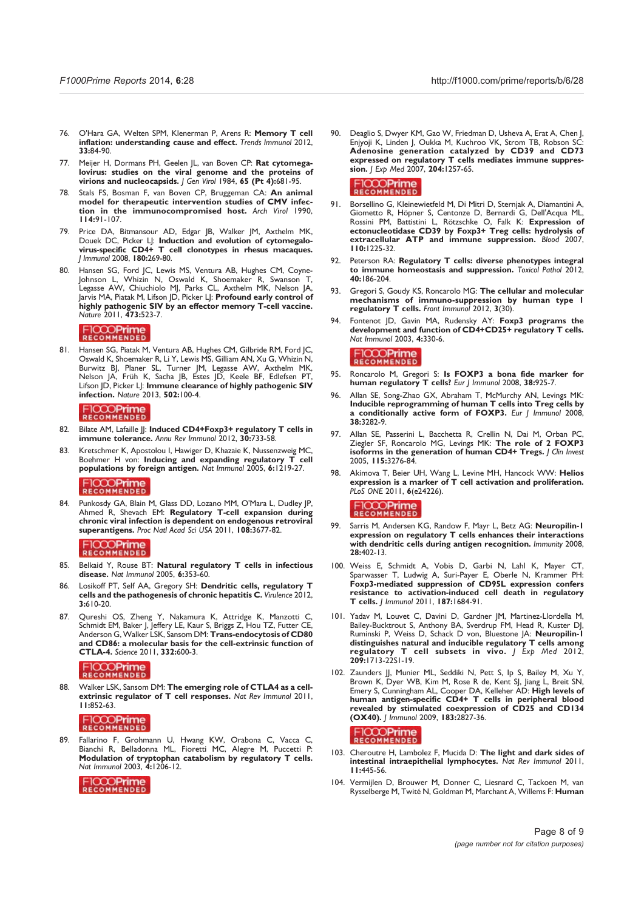- 76. O'Hara GA, Welten SPM, Klenerman P, Arens R: Memory T cell inflation: understanding cause and effect. Trends Immunol 2012, 33:84-90.
- 77. Meijer H, Dormans PH, Geelen JL, van Boven CP: Rat cytomegalovirus: studies on the viral genome and the proteins of virions and nucleocapsids. J Gen Virol 1984, 65 (Pt 4):681-95.
- 78. Stals FS, Bosman F, van Boven CP, Bruggeman CA: An animal model for therapeutic intervention studies of CMV infection in the immunocompromised host. Arch Virol 1990, 114:91-107.
- 79. Price DA, Bitmansour AD, Edgar JB, Walker JM, Axthelm MK, Douek DC, Picker LJ: Induction and evolution of cytomegalovirus-specific CD4+ T cell clonotypes in rhesus macaques. J Immunol 2008, 180:269-80.
- 80. Hansen SG, Ford JC, Lewis MS, Ventura AB, Hughes CM, Coyne-Johnson L, Whizin N, Oswald K, Shoemaker R, Swanson T, Legasse AW, Chiuchiolo MJ, Parks CL, Axthelm MK, Nelson JA, Jarvis MA, Piatak M, Lifson JD, Picker LJ: Profound early control of highly pathogenic SIV by an effector memory T-cell vaccine. Nature 2011, 473:523-7.

### FICCOPrime

81. Hansen SG, Piatak M, Ventura AB, Hughes CM, Gilbride RM, Ford JC, Oswald K, Shoemaker R, Li Y, Lewis MS, Gilliam AN, Xu G, Whizin N, Burwitz BJ, Planer SL, Turner JM, Legasse AW, Axthelm MK, Nelson JA, Früh K, Sacha JB, Estes JD, Keele BF, Edlefsen PT, Lifson JD, Picker LJ: Immune clearance of highly pathogenic SIV infection. Nature 2013, 502:100-4.

### RECOMMENDED

- 82. Bilate AM, Lafaille JJ: Induced CD4+Foxp3+ regulatory T cells in immune tolerance. Annu Rev Immunol 2012, 30:733-58.
- 83. Kretschmer K, Apostolou I, Hawiger D, Khazaie K, Nussenzweig MC, Boehmer H von: Inducing and expanding regulatory T cell populations by foreign antigen. Nat Immunol 2005, 6:1219-27.

# FICCOPrime

84. Punkosdy GA, Blain M, Glass DD, Lozano MM, O'Mara L, Dudley JP, Ahmed R, Shevach EM: Regulatory T-cell expansion during chronic viral infection is dependent on endogenous retroviral superantigens. Proc Natl Acad Sci USA 2011, 108:3677-82.

#### FICCOPrime

- 85. Belkaid Y, Rouse BT: Natural regulatory T cells in infectious disease. Nat Immunol 2005, 6:353-60.
- 86. Losikoff PT, Self AA, Gregory SH: Dendritic cells, regulatory T cells and the pathogenesis of chronic hepatitis C. Virulence 2012, 3:610-20.
- 87. Qureshi OS, Zheng Y, Nakamura K, Attridge K, Manzotti C, Schmidt EM, Baker J, Jeffery LE, Kaur S, Briggs Z, Hou TZ, Futter CE, Anderson G, Walker LSK, Sansom DM: Trans-endocytosis of CD80 and CD86: a molecular basis for the cell-extrinsic function of CTLA-4. Science 2011, 332:600-3.

# FICCOPrime

88. Walker LSK, Sansom DM: The emerging role of CTLA4 as a cellextrinsic regulator of T cell responses. Nat Rev Immunol 2011, 11:852-63.

### FICCOPrime

89. Fallarino F, Grohmann U, Hwang KW, Orabona C, Vacca C, Bianchi R, Belladonna ML, Fioretti MC, Alegre M, Puccetti P: Modulation of tryptophan catabolism by regulatory T cells. Nat Immunol 2003, 4:1206-12.



Deaglio S, Dwyer KM, Gao W, Friedman D, Usheva A, Erat A, Chen J, Enjyoji K, Linden J, Oukka M, Kuchroo VK, Strom TB, Robson SC: Adenosine generation catalyzed by CD39 and CD73 expressed on regulatory T cells mediates immune suppression. J Exp Med 2007, 204:1257-65.

### FICCOPrime

- 91. Borsellino G, Kleinewietfeld M, Di Mitri D, Sternjak A, Diamantini A, Giometto R, Höpner S, Centonze D, Bernardi G, Dell'Acqua ML, Rossini PM, Battistini L, Rötzschke O, Falk K: Expression of ectonucleotidase CD39 by Foxp3+ Treg cells: hydrolysis of extracellular ATP and immune suppression. Blood 2007, 110:1225-32.
- 92. Peterson RA: Regulatory T cells: diverse phenotypes integral to immune homeostasis and suppression. Toxicol Pathol 2012, 40:186-204.
- 93. Gregori S, Goudy KS, Roncarolo MG: The cellular and molecular mechanisms of immuno-suppression by human type 1 regulatory T cells. Front Immunol 2012, 3(30)
- 94. Fontenot JD, Gavin MA, Rudensky AY: Foxp3 programs the development and function of CD4+CD25+ regulatory T cells. Nat Immunol 2003, 4:330-6.

#### FICCO**Prime**<br>RECOMMENDED

- 95. Roncarolo M, Gregori S: Is FOXP3 a bona fide marker for human regulatory T cells? Eur J Immunol 2008, 38:925-7.
- 96. Allan SE, Song-Zhao GX, Abraham T, McMurchy AN, Levings MK: Inducible reprogramming of human T cells into Treg cells by a conditionally active form of FOXP3. Eur | Immunol 2008, 38:3282-9.
- 97. Allan SE, Passerini L, Bacchetta R, Crellin N, Dai M, Orban PC, Ziegler SF, Roncarolo MG, Levings MK: The role of 2 FOXP3 isoforms in the generation of human CD4+ Tregs. | Clin Invest 2005, 115:3276-84.
- 98. Akimova T, Beier UH, Wang L, Levine MH, Hancock WW: Helios expression is a marker of T cell activation and proliferation. PLoS ONE 2011, 6(e24226).

### FICCOPrime

- 99. Sarris M, Andersen KG, Randow F, Mayr L, Betz AG: Neuropilin-1 expression on regulatory T cells enhances their interactions with dendritic cells during antigen recognition. Immunity 2008, 28:402-13.
- 100. Weiss E, Schmidt A, Vobis D, Garbi N, Lahl K, Mayer CT, Sparwasser T, Ludwig A, Suri-Payer E, Oberle N, Krammer PH: Foxp3-mediated suppression of CD95L expression confers resistance to activation-induced cell death in regulatory T cells. J Immunol 2011, 187:1684-91.
- 101. Yadav M, Louvet C, Davini D, Gardner JM, Martinez-Llordella M, Bailey-Bucktrout S, Anthony BA, Sverdrup FM, Head R, Kuster DJ, Ruminski P, Weiss D, Schack D von, Bluestone JA: Neuropilin-1 distinguishes natural and inducible regulatory T cells among regulatory T cell subsets in vivo. J Exp Med 2012, 209:1713-22S1-19.
- 102. Zaunders JJ, Munier ML, Seddiki N, Pett S, Ip S, Bailey M, Xu Y, Brown K, Dyer WB, Kim M, Rose R de, Kent SJ, Jiang L, Breit SN, Emery S, Cunningham AL, Cooper DA, Kelleher AD: High levels of human antigen-specific CD4+ T cells in peripheral blood revealed by stimulated coexpression of CD25 and CD134 (OX40). J Immunol 2009, 183:2827-36.

- 103. Cheroutre H, Lambolez F, Mucida D: The light and dark sides of intestinal intraepithelial lymphocytes. Nat Rev Immunol 2011, 11:445-56.
- 104. Vermijlen D, Brouwer M, Donner C, Liesnard C, Tackoen M, van Rysselberge M, Twité N, Goldman M, Marchant A, Willems F: Human